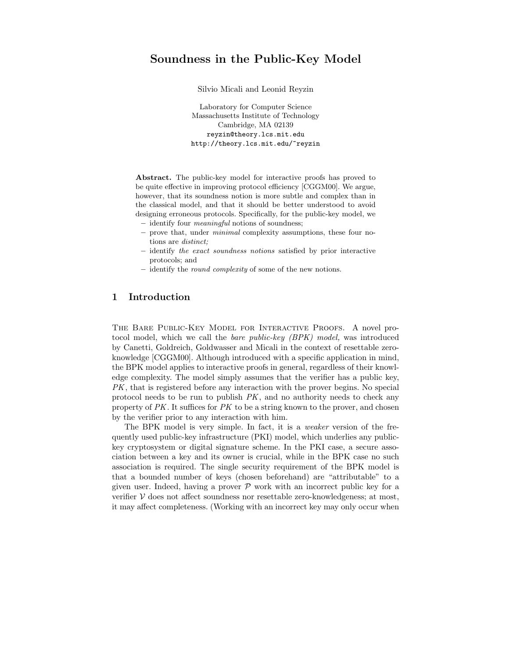# Soundness in the Public-Key Model

Silvio Micali and Leonid Reyzin

Laboratory for Computer Science Massachusetts Institute of Technology Cambridge, MA 02139 reyzin@theory.lcs.mit.edu http://theory.lcs.mit.edu/~reyzin

Abstract. The public-key model for interactive proofs has proved to be quite effective in improving protocol efficiency [CGGM00]. We argue, however, that its soundness notion is more subtle and complex than in the classical model, and that it should be better understood to avoid designing erroneous protocols. Specifically, for the public-key model, we

- identify four meaningful notions of soundness;
- prove that, under minimal complexity assumptions, these four notions are distinct;
- identify the exact soundness notions satisfied by prior interactive protocols; and
- identify the round complexity of some of the new notions.

# 1 Introduction

The Bare Public-Key Model for Interactive Proofs. A novel protocol model, which we call the bare public-key (BPK) model, was introduced by Canetti, Goldreich, Goldwasser and Micali in the context of resettable zeroknowledge [CGGM00]. Although introduced with a specific application in mind, the BPK model applies to interactive proofs in general, regardless of their knowledge complexity. The model simply assumes that the verifier has a public key, PK, that is registered before any interaction with the prover begins. No special protocol needs to be run to publish PK, and no authority needs to check any property of PK. It suffices for PK to be a string known to the prover, and chosen by the verifier prior to any interaction with him.

The BPK model is very simple. In fact, it is a weaker version of the frequently used public-key infrastructure (PKI) model, which underlies any publickey cryptosystem or digital signature scheme. In the PKI case, a secure association between a key and its owner is crucial, while in the BPK case no such association is required. The single security requirement of the BPK model is that a bounded number of keys (chosen beforehand) are "attributable" to a given user. Indeed, having a prover  $P$  work with an incorrect public key for a verifier  $V$  does not affect soundness nor resettable zero-knowledgeness; at most, it may affect completeness. (Working with an incorrect key may only occur when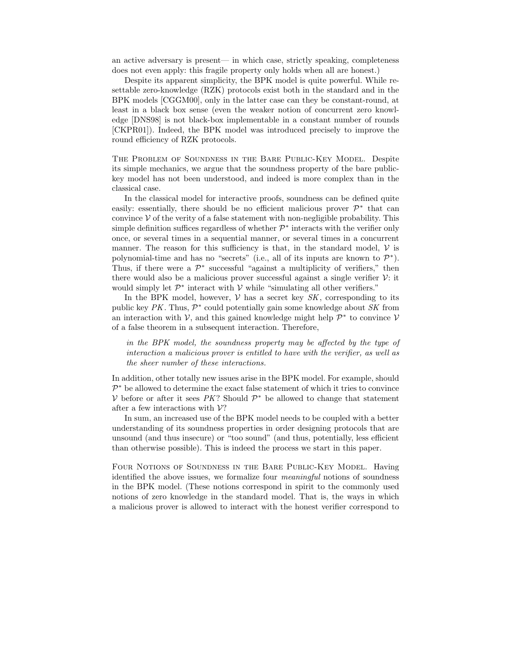an active adversary is present— in which case, strictly speaking, completeness does not even apply: this fragile property only holds when all are honest.)

Despite its apparent simplicity, the BPK model is quite powerful. While resettable zero-knowledge (RZK) protocols exist both in the standard and in the BPK models [CGGM00], only in the latter case can they be constant-round, at least in a black box sense (even the weaker notion of concurrent zero knowledge [DNS98] is not black-box implementable in a constant number of rounds [CKPR01]). Indeed, the BPK model was introduced precisely to improve the round efficiency of RZK protocols.

The Problem of Soundness in the Bare Public-Key Model. Despite its simple mechanics, we argue that the soundness property of the bare publickey model has not been understood, and indeed is more complex than in the classical case.

In the classical model for interactive proofs, soundness can be defined quite easily: essentially, there should be no efficient malicious prover  $\mathcal{P}^*$  that can convince  $V$  of the verity of a false statement with non-negligible probability. This simple definition suffices regardless of whether  $\mathcal{P}^*$  interacts with the verifier only once, or several times in a sequential manner, or several times in a concurrent manner. The reason for this sufficiency is that, in the standard model,  $\mathcal V$  is polynomial-time and has no "secrets" (i.e., all of its inputs are known to  $\mathcal{P}^*$ ). Thus, if there were a  $\mathcal{P}^*$  successful "against a multiplicity of verifiers," then there would also be a malicious prover successful against a single verifier  $\mathcal{V}$ : it would simply let  $\mathcal{P}^*$  interact with  $\mathcal V$  while "simulating all other verifiers."

In the BPK model, however,  $V$  has a secret key  $SK$ , corresponding to its public key  $PK$ . Thus,  $\mathcal{P}^*$  could potentially gain some knowledge about SK from an interaction with  $\mathcal{V}$ , and this gained knowledge might help  $\mathcal{P}^*$  to convince  $\mathcal{V}$ of a false theorem in a subsequent interaction. Therefore,

in the BPK model, the soundness property may be affected by the type of interaction a malicious prover is entitled to have with the verifier, as well as the sheer number of these interactions.

In addition, other totally new issues arise in the BPK model. For example, should  $\mathcal{P}^*$  be allowed to determine the exact false statement of which it tries to convince V before or after it sees  $PK$ ? Should  $\mathcal{P}^*$  be allowed to change that statement after a few interactions with  $V$ ?

In sum, an increased use of the BPK model needs to be coupled with a better understanding of its soundness properties in order designing protocols that are unsound (and thus insecure) or "too sound" (and thus, potentially, less efficient than otherwise possible). This is indeed the process we start in this paper.

FOUR NOTIONS OF SOUNDNESS IN THE BARE PUBLIC-KEY MODEL. Having identified the above issues, we formalize four meaningful notions of soundness in the BPK model. (These notions correspond in spirit to the commonly used notions of zero knowledge in the standard model. That is, the ways in which a malicious prover is allowed to interact with the honest verifier correspond to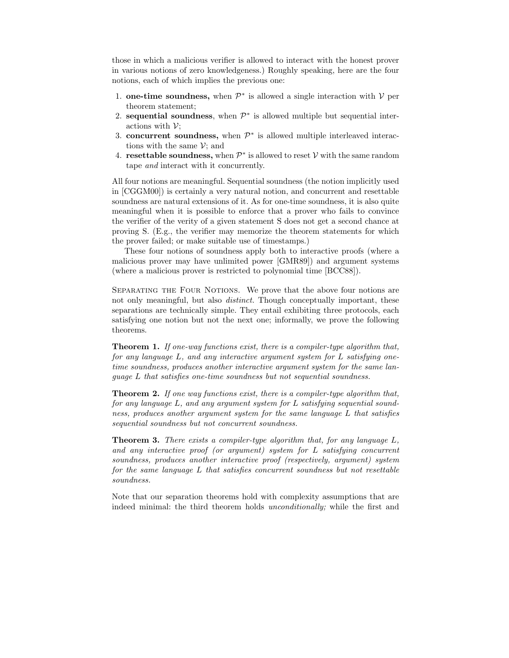those in which a malicious verifier is allowed to interact with the honest prover in various notions of zero knowledgeness.) Roughly speaking, here are the four notions, each of which implies the previous one:

- 1. **one-time soundness**, when  $\mathcal{P}^*$  is allowed a single interaction with  $V$  per theorem statement;
- 2. sequential soundness, when  $\mathcal{P}^*$  is allowed multiple but sequential interactions with  $\mathcal{V}$ :
- 3. concurrent soundness, when  $\mathcal{P}^*$  is allowed multiple interleaved interactions with the same  $\mathcal{V}$ ; and
- 4. resettable soundness, when  $\mathcal{P}^*$  is allowed to reset  $\mathcal V$  with the same random tape and interact with it concurrently.

All four notions are meaningful. Sequential soundness (the notion implicitly used in [CGGM00]) is certainly a very natural notion, and concurrent and resettable soundness are natural extensions of it. As for one-time soundness, it is also quite meaningful when it is possible to enforce that a prover who fails to convince the verifier of the verity of a given statement S does not get a second chance at proving S. (E.g., the verifier may memorize the theorem statements for which the prover failed; or make suitable use of timestamps.)

These four notions of soundness apply both to interactive proofs (where a malicious prover may have unlimited power [GMR89]) and argument systems (where a malicious prover is restricted to polynomial time [BCC88]).

SEPARATING THE FOUR NOTIONS. We prove that the above four notions are not only meaningful, but also *distinct*. Though conceptually important, these separations are technically simple. They entail exhibiting three protocols, each satisfying one notion but not the next one; informally, we prove the following theorems.

Theorem 1. If one-way functions exist, there is a compiler-type algorithm that, for any language L, and any interactive argument system for L satisfying onetime soundness, produces another interactive argument system for the same language L that satisfies one-time soundness but not sequential soundness.

Theorem 2. If one way functions exist, there is a compiler-type algorithm that, for any language L, and any argument system for L satisfying sequential soundness, produces another argument system for the same language L that satisfies sequential soundness but not concurrent soundness.

**Theorem 3.** There exists a compiler-type algorithm that, for any language  $L$ , and any interactive proof (or argument) system for L satisfying concurrent soundness, produces another interactive proof (respectively, argument) system for the same language L that satisfies concurrent soundness but not resettable soundness.

Note that our separation theorems hold with complexity assumptions that are indeed minimal: the third theorem holds unconditionally; while the first and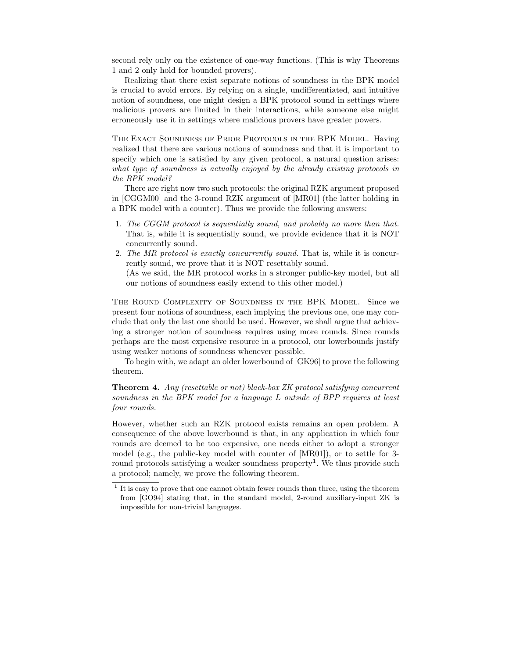second rely only on the existence of one-way functions. (This is why Theorems 1 and 2 only hold for bounded provers).

Realizing that there exist separate notions of soundness in the BPK model is crucial to avoid errors. By relying on a single, undifferentiated, and intuitive notion of soundness, one might design a BPK protocol sound in settings where malicious provers are limited in their interactions, while someone else might erroneously use it in settings where malicious provers have greater powers.

THE EXACT SOUNDNESS OF PRIOR PROTOCOLS IN THE BPK MODEL. Having realized that there are various notions of soundness and that it is important to specify which one is satisfied by any given protocol, a natural question arises: what type of soundness is actually enjoyed by the already existing protocols in the BPK model?

There are right now two such protocols: the original RZK argument proposed in [CGGM00] and the 3-round RZK argument of [MR01] (the latter holding in a BPK model with a counter). Thus we provide the following answers:

- 1. The CGGM protocol is sequentially sound, and probably no more than that. That is, while it is sequentially sound, we provide evidence that it is NOT concurrently sound.
- 2. The MR protocol is exactly concurrently sound. That is, while it is concurrently sound, we prove that it is NOT resettably sound. (As we said, the MR protocol works in a stronger public-key model, but all

our notions of soundness easily extend to this other model.)

The Round Complexity of Soundness in the BPK Model. Since we present four notions of soundness, each implying the previous one, one may conclude that only the last one should be used. However, we shall argue that achieving a stronger notion of soundness requires using more rounds. Since rounds perhaps are the most expensive resource in a protocol, our lowerbounds justify using weaker notions of soundness whenever possible.

To begin with, we adapt an older lowerbound of [GK96] to prove the following theorem.

Theorem 4. Any (resettable or not) black-box ZK protocol satisfying concurrent soundness in the BPK model for a language L outside of BPP requires at least four rounds.

However, whether such an RZK protocol exists remains an open problem. A consequence of the above lowerbound is that, in any application in which four rounds are deemed to be too expensive, one needs either to adopt a stronger model (e.g., the public-key model with counter of [MR01]), or to settle for 3 round protocols satisfying a weaker soundness property<sup>1</sup>. We thus provide such a protocol; namely, we prove the following theorem.

<sup>&</sup>lt;sup>1</sup> It is easy to prove that one cannot obtain fewer rounds than three, using the theorem from [GO94] stating that, in the standard model, 2-round auxiliary-input ZK is impossible for non-trivial languages.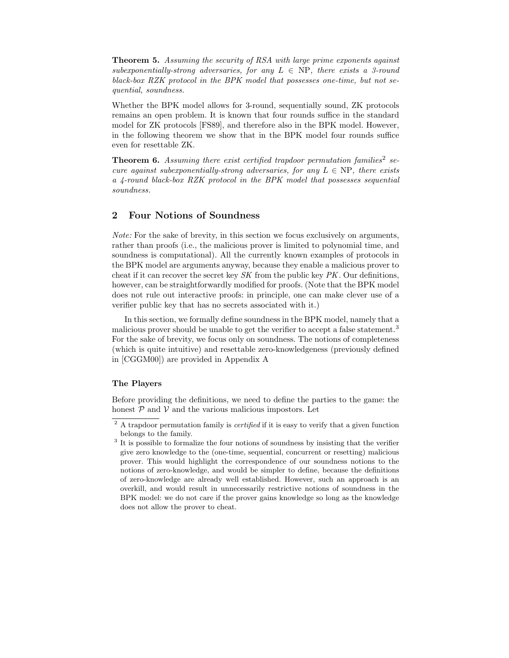Theorem 5. Assuming the security of RSA with large prime exponents against subexponentially-strong adversaries, for any  $L \in \text{NP}$ , there exists a 3-round black-box RZK protocol in the BPK model that possesses one-time, but not sequential, soundness.

Whether the BPK model allows for 3-round, sequentially sound, ZK protocols remains an open problem. It is known that four rounds suffice in the standard model for ZK protocols [FS89], and therefore also in the BPK model. However, in the following theorem we show that in the BPK model four rounds suffice even for resettable ZK.

**Theorem 6.** Assuming there exist certified trapdoor permutation families<sup>2</sup> secure against subexponentially-strong adversaries, for any  $L \in \text{NP}$ , there exists a 4-round black-box RZK protocol in the BPK model that possesses sequential soundness.

# 2 Four Notions of Soundness

Note: For the sake of brevity, in this section we focus exclusively on arguments, rather than proofs (i.e., the malicious prover is limited to polynomial time, and soundness is computational). All the currently known examples of protocols in the BPK model are arguments anyway, because they enable a malicious prover to cheat if it can recover the secret key  $SK$  from the public key  $PK$ . Our definitions, however, can be straightforwardly modified for proofs. (Note that the BPK model does not rule out interactive proofs: in principle, one can make clever use of a verifier public key that has no secrets associated with it.)

In this section, we formally define soundness in the BPK model, namely that a malicious prover should be unable to get the verifier to accept a false statement.<sup>3</sup> For the sake of brevity, we focus only on soundness. The notions of completeness (which is quite intuitive) and resettable zero-knowledgeness (previously defined in [CGGM00]) are provided in Appendix A

### The Players

Before providing the definitions, we need to define the parties to the game: the honest  $P$  and  $V$  and the various malicious impostors. Let

 $2\,$  A trapdoor permutation family is *certified* if it is easy to verify that a given function belongs to the family.

<sup>&</sup>lt;sup>3</sup> It is possible to formalize the four notions of soundness by insisting that the verifier give zero knowledge to the (one-time, sequential, concurrent or resetting) malicious prover. This would highlight the correspondence of our soundness notions to the notions of zero-knowledge, and would be simpler to define, because the definitions of zero-knowledge are already well established. However, such an approach is an overkill, and would result in unnecessarily restrictive notions of soundness in the BPK model: we do not care if the prover gains knowledge so long as the knowledge does not allow the prover to cheat.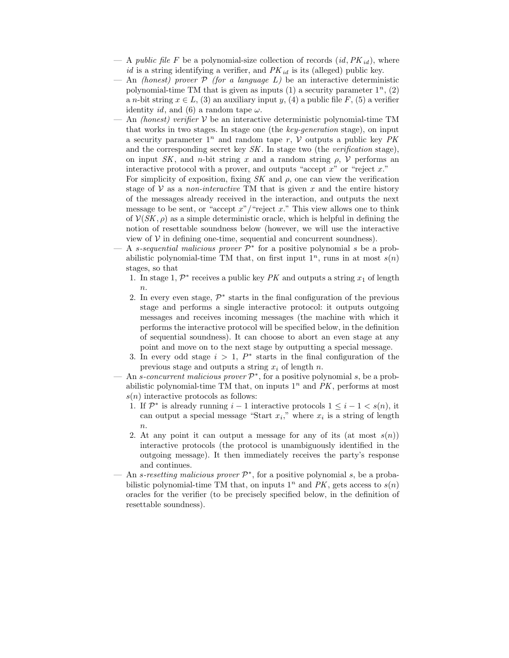- A *public file* F be a polynomial-size collection of records  $(id, PK_{id})$ , where id is a string identifying a verifier, and  $PK_{id}$  is its (alleged) public key.
- An *(honest)* prover  $P$  *(for a language L)* be an interactive deterministic polynomial-time TM that is given as inputs  $(1)$  a security parameter  $1<sup>n</sup>$ ,  $(2)$ a *n*-bit string  $x \in L$ , (3) an auxiliary input y, (4) a public file F, (5) a verifier identity id, and (6) a random tape  $\omega$ .
- An *(honest)* verifier  $V$  be an interactive deterministic polynomial-time TM that works in two stages. In stage one (the key-generation stage), on input a security parameter  $1^n$  and random tape r, V outputs a public key PK and the corresponding secret key  $SK$ . In stage two (the *verification* stage), on input SK, and n-bit string x and a random string  $\rho$ , V performs and interactive protocol with a prover, and outputs "accept  $x$ " or "reject  $x$ ." For simplicity of exposition, fixing  $SK$  and  $\rho$ , one can view the verification stage of  $V$  as a non-interactive TM that is given x and the entire history of the messages already received in the interaction, and outputs the next message to be sent, or "accept  $x$ "/"reject  $x$ ." This view allows one to think of  $V(SK, \rho)$  as a simple deterministic oracle, which is helpful in defining the notion of resettable soundness below (however, we will use the interactive view of  $V$  in defining one-time, sequential and concurrent soundness).
- $-$  A *s*-sequential malicious prover  $\mathcal{P}^*$  for a positive polynomial *s* be a probabilistic polynomial-time TM that, on first input  $1^n$ , runs in at most  $s(n)$ stages, so that
	- 1. In stage 1,  $\mathcal{P}^*$  receives a public key PK and outputs a string  $x_1$  of length  $\overline{n}$ .
	- 2. In every even stage,  $\mathcal{P}^*$  starts in the final configuration of the previous stage and performs a single interactive protocol: it outputs outgoing messages and receives incoming messages (the machine with which it performs the interactive protocol will be specified below, in the definition of sequential soundness). It can choose to abort an even stage at any point and move on to the next stage by outputting a special message.
	- 3. In every odd stage  $i > 1$ ,  $P^*$  starts in the final configuration of the previous stage and outputs a string  $x_i$  of length n.
- $-$  An *s*-concurrent malicious prover  $\mathcal{P}^*$ , for a positive polynomial *s*, be a probabilistic polynomial-time TM that, on inputs  $1<sup>n</sup>$  and  $PK$ , performs at most  $s(n)$  interactive protocols as follows:
	- 1. If  $\mathcal{P}^*$  is already running  $i-1$  interactive protocols  $1 \leq i-1 < s(n)$ , it can output a special message "Start  $x_i$ ," where  $x_i$  is a string of length  $\overline{n}$ .
	- 2. At any point it can output a message for any of its (at most  $s(n)$ ) interactive protocols (the protocol is unambiguously identified in the outgoing message). It then immediately receives the party's response and continues.
- $-$  An *s*-resetting malicious prover  $\mathcal{P}^*$ , for a positive polynomial *s*, be a probabilistic polynomial-time TM that, on inputs  $1^n$  and PK, gets access to  $s(n)$ oracles for the verifier (to be precisely specified below, in the definition of resettable soundness).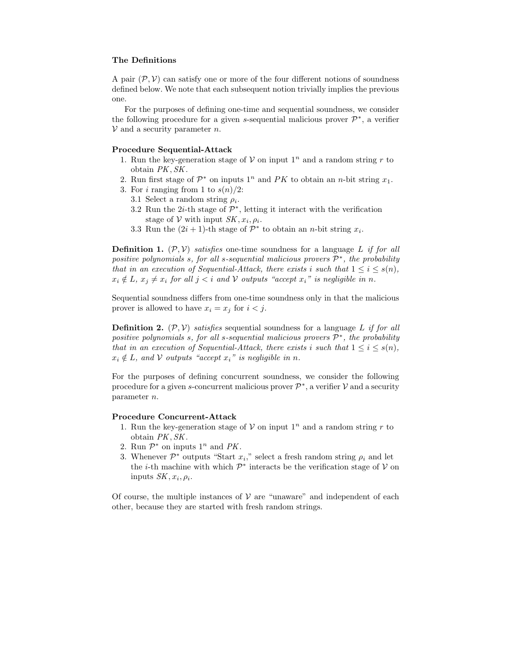### The Definitions

A pair  $(\mathcal{P}, \mathcal{V})$  can satisfy one or more of the four different notions of soundness defined below. We note that each subsequent notion trivially implies the previous one.

For the purposes of defining one-time and sequential soundness, we consider the following procedure for a given s-sequential malicious prover  $\mathcal{P}^*$ , a verifier  $V$  and a security parameter *n*.

# Procedure Sequential-Attack

- 1. Run the key-generation stage of  $V$  on input  $1<sup>n</sup>$  and a random string r to obtain PK, SK.
- 2. Run first stage of  $\mathcal{P}^*$  on inputs  $1^n$  and  $PK$  to obtain an *n*-bit string  $x_1$ .
- 3. For i ranging from 1 to  $s(n)/2$ :
	- 3.1 Select a random string  $\rho_i$ .
	- 3.2 Run the 2i-th stage of  $\mathcal{P}^*$ , letting it interact with the verification stage of  $V$  with input  $SK, x_i, \rho_i$ .
	- 3.3 Run the  $(2i + 1)$ -th stage of  $\mathcal{P}^*$  to obtain an *n*-bit string  $x_i$ .

**Definition 1.** (P, V) satisfies one-time soundness for a language L if for all positive polynomials s, for all s-sequential malicious provers  $\mathcal{P}^*$ , the probability that in an execution of Sequential-Attack, there exists i such that  $1 \leq i \leq s(n)$ ,  $x_i \notin L$ ,  $x_j \neq x_i$  for all  $j < i$  and V outputs "accept  $x_i$ " is negligible in n.

Sequential soundness differs from one-time soundness only in that the malicious prover is allowed to have  $x_i = x_j$  for  $i < j$ .

**Definition 2.**  $(\mathcal{P}, \mathcal{V})$  satisfies sequential soundness for a language L if for all positive polynomials s, for all s-sequential malicious provers  $\mathcal{P}^*$ , the probability that in an execution of Sequential-Attack, there exists i such that  $1 \leq i \leq s(n)$ ,  $x_i \notin L$ , and V outputs "accept  $x_i$ " is negligible in n.

For the purposes of defining concurrent soundness, we consider the following procedure for a given s-concurrent malicious prover  $\mathcal{P}^*$ , a verifier  $\mathcal V$  and a security parameter n.

#### Procedure Concurrent-Attack

- 1. Run the key-generation stage of  $V$  on input  $1<sup>n</sup>$  and a random string r to obtain PK, SK.
- 2. Run  $\mathcal{P}^*$  on inputs  $1^n$  and  $PK$ .
- 3. Whenever  $\mathcal{P}^*$  outputs "Start  $x_i$ ," select a fresh random string  $\rho_i$  and let the *i*-th machine with which  $\mathcal{P}^*$  interacts be the verification stage of  $\mathcal V$  on inputs  $SK, x_i, \rho_i$ .

Of course, the multiple instances of  $V$  are "unaware" and independent of each other, because they are started with fresh random strings.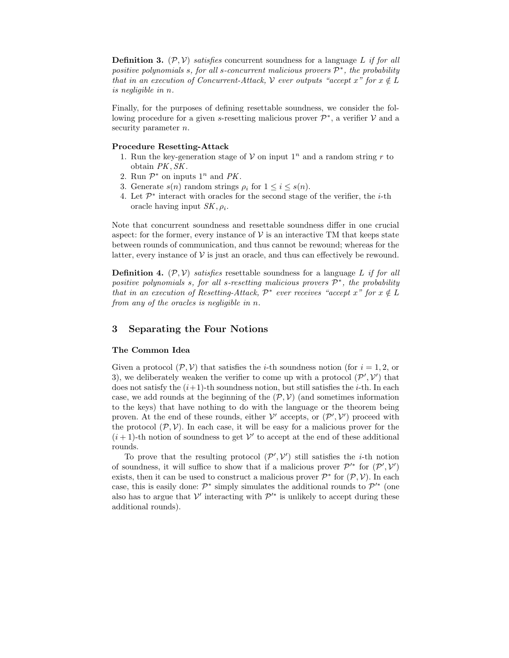**Definition 3.**  $(\mathcal{P}, \mathcal{V})$  satisfies concurrent soundness for a language L if for all positive polynomials s, for all s-concurrent malicious provers  $\mathcal{P}^*$ , the probability that in an execution of Concurrent-Attack,  $\mathcal V$  ever outputs "accept x" for  $x \notin L$ is negligible in n.

Finally, for the purposes of defining resettable soundness, we consider the following procedure for a given s-resetting malicious prover  $\mathcal{P}^*$ , a verifier  $\mathcal V$  and a security parameter  $n$ .

### Procedure Resetting-Attack

- 1. Run the key-generation stage of  $V$  on input  $1^n$  and a random string r to obtain PK, SK.
- 2. Run  $\mathcal{P}^*$  on inputs  $1^n$  and  $PK$ .
- 3. Generate  $s(n)$  random strings  $\rho_i$  for  $1 \leq i \leq s(n)$ .
- 4. Let  $\mathcal{P}^*$  interact with oracles for the second stage of the verifier, the *i*-th oracle having input  $SK, \rho_i$ .

Note that concurrent soundness and resettable soundness differ in one crucial aspect: for the former, every instance of  $\mathcal V$  is an interactive TM that keeps state between rounds of communication, and thus cannot be rewound; whereas for the latter, every instance of  $V$  is just an oracle, and thus can effectively be rewound.

**Definition 4.**  $(\mathcal{P}, \mathcal{V})$  satisfies resettable soundness for a language L if for all positive polynomials s, for all s-resetting malicious provers  $\mathcal{P}^*$ , the probability that in an execution of Resetting-Attack,  $\mathcal{P}^*$  ever receives "accept x" for  $x \notin L$ from any of the oracles is negligible in n.

# 3 Separating the Four Notions

#### The Common Idea

Given a protocol  $(\mathcal{P}, \mathcal{V})$  that satisfies the *i*-th soundness notion (for  $i = 1, 2$ , or 3), we deliberately weaken the verifier to come up with a protocol  $(\mathcal{P}', \mathcal{V}')$  that does not satisfy the  $(i+1)$ -th soundness notion, but still satisfies the *i*-th. In each case, we add rounds at the beginning of the  $(\mathcal{P}, \mathcal{V})$  (and sometimes information to the keys) that have nothing to do with the language or the theorem being proven. At the end of these rounds, either  $\mathcal{V}'$  accepts, or  $(\mathcal{P}', \mathcal{V}')$  proceed with the protocol  $(\mathcal{P}, \mathcal{V})$ . In each case, it will be easy for a malicious prover for the  $(i+1)$ -th notion of soundness to get V' to accept at the end of these additional rounds.

To prove that the resulting protocol  $(\mathcal{P}', \mathcal{V}')$  still satisfies the *i*-th notion of soundness, it will suffice to show that if a malicious prover  $\mathcal{P}'^*$  for  $(\mathcal{P}', \mathcal{V}')$ exists, then it can be used to construct a malicious prover  $\mathcal{P}^*$  for  $(\mathcal{P}, \mathcal{V})$ . In each case, this is easily done:  $\mathcal{P}^*$  simply simulates the additional rounds to  $\mathcal{P}'^*$  (one also has to argue that  $\mathcal{V}'$  interacting with  $\mathcal{P}'^*$  is unlikely to accept during these additional rounds).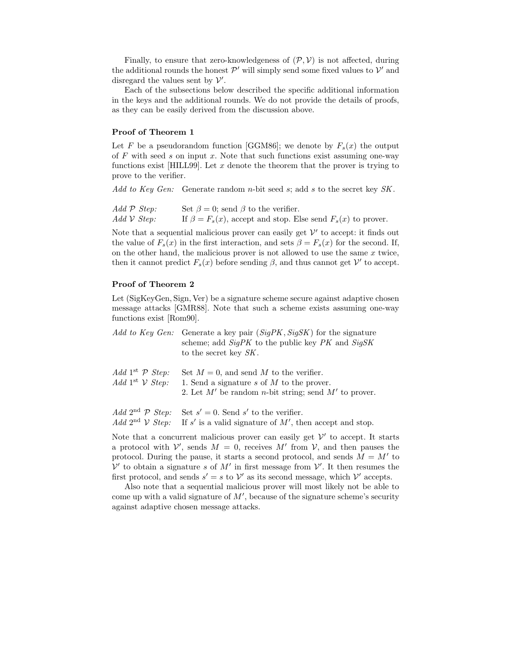Finally, to ensure that zero-knowledgeness of  $(\mathcal{P}, V)$  is not affected, during the additional rounds the honest  $\mathcal{P}'$  will simply send some fixed values to  $\mathcal{V}'$  and disregard the values sent by  $V'$ .

Each of the subsections below described the specific additional information in the keys and the additional rounds. We do not provide the details of proofs, as they can be easily derived from the discussion above.

# Proof of Theorem 1

Let F be a pseudorandom function [GGM86]; we denote by  $F_s(x)$  the output of  $F$  with seed  $s$  on input  $x$ . Note that such functions exist assuming one-way functions exist [HILL99]. Let x denote the theorem that the prover is trying to prove to the verifier.

Add to Key Gen: Generate random n-bit seed s; add s to the secret key  $SK$ .

Add P Step: Set  $\beta = 0$ ; send  $\beta$  to the verifier. Add V Step: If  $\beta = F_s(x)$ , accept and stop. Else send  $F_s(x)$  to prover.

Note that a sequential malicious prover can easily get  $\mathcal{V}'$  to accept: it finds out the value of  $F_s(x)$  in the first interaction, and sets  $\beta = F_s(x)$  for the second. If, on the other hand, the malicious prover is not allowed to use the same  $x$  twice, then it cannot predict  $F_s(x)$  before sending  $\beta$ , and thus cannot get  $\mathcal V'$  to accept.

#### Proof of Theorem 2

Let (SigKeyGen, Sign, Ver) be a signature scheme secure against adaptive chosen message attacks [GMR88]. Note that such a scheme exists assuming one-way functions exist [Rom90].

|                                                                                        | Add to Key Gen: Generate a key pair $(SigPK, SigSK)$ for the signature<br>scheme; add $SigPK$ to the public key PK and $SigSK$<br>to the secret key $SK$ .     |
|----------------------------------------------------------------------------------------|----------------------------------------------------------------------------------------------------------------------------------------------------------------|
| Add 1 <sup>st</sup> $\mathcal{P}$ <i>Step:</i><br>Add 1 <sup>st</sup> $V$ <i>Step:</i> | Set $M = 0$ , and send M to the verifier.<br>1. Send a signature $s$ of $M$ to the prover.<br>2. Let $M'$ be random <i>n</i> -bit string; send $M'$ to prover. |
| Add $2^{\text{nd}}$ $\mathcal{P}$ Step:<br>Add 2 <sup>nd</sup> V Step:                 | Set $s' = 0$ . Send s' to the verifier.<br>If $s'$ is a valid signature of $M'$ , then accept and stop.                                                        |

Note that a concurrent malicious prover can easily get  $\mathcal{V}'$  to accept. It starts a protocol with  $V'$ , sends  $M = 0$ , receives  $M'$  from  $V$ , and then pauses the protocol. During the pause, it starts a second protocol, and sends  $M = M'$  to  $V'$  to obtain a signature s of M' in first message from  $V'$ . It then resumes the first protocol, and sends  $s' = s$  to  $\mathcal{V}'$  as its second message, which  $\mathcal{V}'$  accepts.

Also note that a sequential malicious prover will most likely not be able to come up with a valid signature of  $M'$ , because of the signature scheme's security against adaptive chosen message attacks.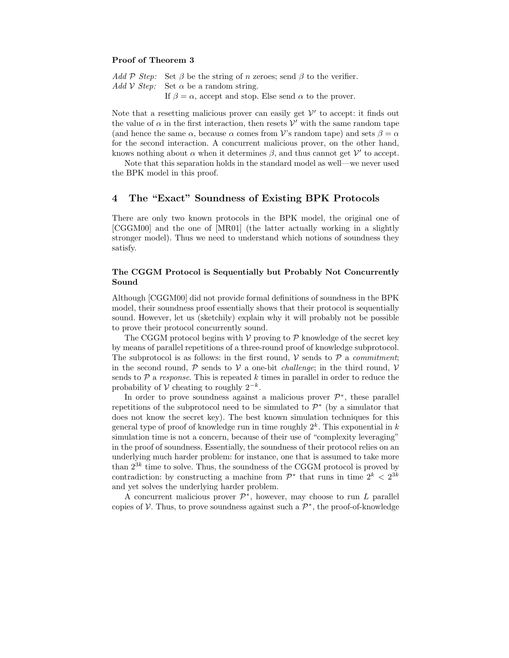### Proof of Theorem 3

Add P Step: Set  $\beta$  be the string of n zeroes; send  $\beta$  to the verifier. Add  $V$  Step: Set  $\alpha$  be a random string. If  $\beta = \alpha$ , accept and stop. Else send  $\alpha$  to the prover.

Note that a resetting malicious prover can easily get  $\mathcal{V}'$  to accept: it finds out the value of  $\alpha$  in the first interaction, then resets  $\mathcal{V}'$  with the same random tape (and hence the same  $\alpha$ , because  $\alpha$  comes from V's random tape) and sets  $\beta = \alpha$ for the second interaction. A concurrent malicious prover, on the other hand, knows nothing about  $\alpha$  when it determines  $\beta$ , and thus cannot get  $\mathcal{V}'$  to accept.

Note that this separation holds in the standard model as well—we never used the BPK model in this proof.

# 4 The "Exact" Soundness of Existing BPK Protocols

There are only two known protocols in the BPK model, the original one of [CGGM00] and the one of [MR01] (the latter actually working in a slightly stronger model). Thus we need to understand which notions of soundness they satisfy.

# The CGGM Protocol is Sequentially but Probably Not Concurrently Sound

Although [CGGM00] did not provide formal definitions of soundness in the BPK model, their soundness proof essentially shows that their protocol is sequentially sound. However, let us (sketchily) explain why it will probably not be possible to prove their protocol concurrently sound.

The CGGM protocol begins with  $V$  proving to  $P$  knowledge of the secret key by means of parallel repetitions of a three-round proof of knowledge subprotocol. The subprotocol is as follows: in the first round,  $\mathcal V$  sends to  $\mathcal P$  a *commitment*; in the second round,  $\mathcal P$  sends to  $\mathcal V$  a one-bit *challenge*; in the third round,  $\mathcal V$ sends to  $P$  a response. This is repeated k times in parallel in order to reduce the probability of  $V$  cheating to roughly  $2^{-k}$ .

In order to prove soundness against a malicious prover  $\mathcal{P}^*$ , these parallel repetitions of the subprotocol need to be simulated to  $\mathcal{P}^*$  (by a simulator that does not know the secret key). The best known simulation techniques for this general type of proof of knowledge run in time roughly  $2^k$ . This exponential in k simulation time is not a concern, because of their use of "complexity leveraging" in the proof of soundness. Essentially, the soundness of their protocol relies on an underlying much harder problem: for instance, one that is assumed to take more than  $2^{3k}$  time to solve. Thus, the soundness of the CGGM protocol is proved by contradiction: by constructing a machine from  $\mathcal{P}^*$  that runs in time  $2^k < 2^{3k}$ and yet solves the underlying harder problem.

A concurrent malicious prover  $\mathcal{P}^*$ , however, may choose to run L parallel copies of  $V$ . Thus, to prove soundness against such a  $\mathcal{P}^*$ , the proof-of-knowledge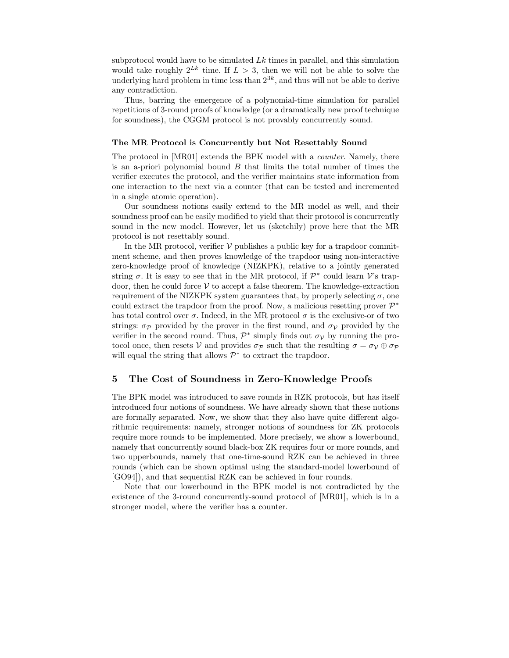subprotocol would have to be simulated  $Lk$  times in parallel, and this simulation would take roughly  $2^{Lk}$  time. If  $L > 3$ , then we will not be able to solve the underlying hard problem in time less than  $2^{3k}$ , and thus will not be able to derive any contradiction.

Thus, barring the emergence of a polynomial-time simulation for parallel repetitions of 3-round proofs of knowledge (or a dramatically new proof technique for soundness), the CGGM protocol is not provably concurrently sound.

### The MR Protocol is Concurrently but Not Resettably Sound

The protocol in [MR01] extends the BPK model with a counter. Namely, there is an a-priori polynomial bound  $B$  that limits the total number of times the verifier executes the protocol, and the verifier maintains state information from one interaction to the next via a counter (that can be tested and incremented in a single atomic operation).

Our soundness notions easily extend to the MR model as well, and their soundness proof can be easily modified to yield that their protocol is concurrently sound in the new model. However, let us (sketchily) prove here that the MR protocol is not resettably sound.

In the MR protocol, verifier  $V$  publishes a public key for a trapdoor commitment scheme, and then proves knowledge of the trapdoor using non-interactive zero-knowledge proof of knowledge (NIZKPK), relative to a jointly generated string  $\sigma$ . It is easy to see that in the MR protocol, if  $\mathcal{P}^*$  could learn V's trapdoor, then he could force  $V$  to accept a false theorem. The knowledge-extraction requirement of the NIZKPK system guarantees that, by properly selecting  $\sigma$ , one could extract the trapdoor from the proof. Now, a malicious resetting prover  $\mathcal{P}^*$ has total control over  $\sigma$ . Indeed, in the MR protocol  $\sigma$  is the exclusive-or of two strings:  $\sigma_{\mathcal{P}}$  provided by the prover in the first round, and  $\sigma_{\mathcal{V}}$  provided by the verifier in the second round. Thus,  $\mathcal{P}^*$  simply finds out  $\sigma_{\mathcal{V}}$  by running the protocol once, then resets V and provides  $\sigma_{\mathcal{P}}$  such that the resulting  $\sigma = \sigma_{\mathcal{V}} \oplus \sigma_{\mathcal{P}}$ will equal the string that allows  $\mathcal{P}^*$  to extract the trapdoor.

### 5 The Cost of Soundness in Zero-Knowledge Proofs

The BPK model was introduced to save rounds in RZK protocols, but has itself introduced four notions of soundness. We have already shown that these notions are formally separated. Now, we show that they also have quite different algorithmic requirements: namely, stronger notions of soundness for ZK protocols require more rounds to be implemented. More precisely, we show a lowerbound, namely that concurrently sound black-box ZK requires four or more rounds, and two upperbounds, namely that one-time-sound RZK can be achieved in three rounds (which can be shown optimal using the standard-model lowerbound of [GO94]), and that sequential RZK can be achieved in four rounds.

Note that our lowerbound in the BPK model is not contradicted by the existence of the 3-round concurrently-sound protocol of [MR01], which is in a stronger model, where the verifier has a counter.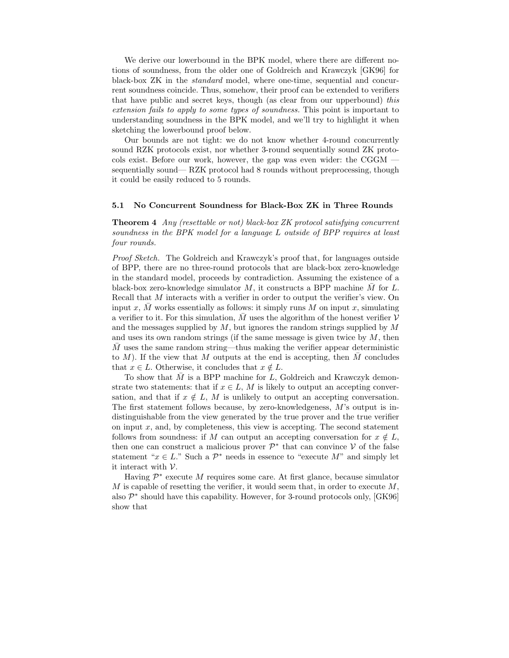We derive our lowerbound in the BPK model, where there are different notions of soundness, from the older one of Goldreich and Krawczyk [GK96] for black-box ZK in the standard model, where one-time, sequential and concurrent soundness coincide. Thus, somehow, their proof can be extended to verifiers that have public and secret keys, though (as clear from our upperbound) this extension fails to apply to some types of soundness. This point is important to understanding soundness in the BPK model, and we'll try to highlight it when sketching the lowerbound proof below.

Our bounds are not tight: we do not know whether 4-round concurrently sound RZK protocols exist, nor whether 3-round sequentially sound ZK protocols exist. Before our work, however, the gap was even wider: the CGGM sequentially sound— RZK protocol had 8 rounds without preprocessing, though it could be easily reduced to 5 rounds.

### 5.1 No Concurrent Soundness for Black-Box ZK in Three Rounds

Theorem 4 Any (resettable or not) black-box ZK protocol satisfying concurrent soundness in the BPK model for a language L outside of BPP requires at least four rounds.

Proof Sketch. The Goldreich and Krawczyk's proof that, for languages outside of BPP, there are no three-round protocols that are black-box zero-knowledge in the standard model, proceeds by contradiction. Assuming the existence of a black-box zero-knowledge simulator M, it constructs a BPP machine  $\overline{M}$  for L. Recall that M interacts with a verifier in order to output the verifier's view. On input x,  $\overline{M}$  works essentially as follows: it simply runs  $M$  on input x, simulating a verifier to it. For this simulation, M uses the algorithm of the honest verifier  $V$ and the messages supplied by  $M$ , but ignores the random strings supplied by  $M$ and uses its own random strings (if the same message is given twice by  $M$ , then  $\overline{M}$  uses the same random string—thus making the verifier appear deterministic to  $M$ ). If the view that M outputs at the end is accepting, then M concludes that  $x \in L$ . Otherwise, it concludes that  $x \notin L$ .

To show that  $M$  is a BPP machine for  $L$ , Goldreich and Krawczyk demonstrate two statements: that if  $x \in L$ , M is likely to output an accepting conversation, and that if  $x \notin L$ , M is unlikely to output an accepting conversation. The first statement follows because, by zero-knowledgeness, M's output is indistinguishable from the view generated by the true prover and the true verifier on input  $x$ , and, by completeness, this view is accepting. The second statement follows from soundness: if M can output an accepting conversation for  $x \notin L$ , then one can construct a malicious prover  $\mathcal{P}^*$  that can convince V of the false statement " $x \in L$ ." Such a  $\mathcal{P}^*$  needs in essence to "execute M" and simply let it interact with V.

Having  $\mathcal{P}^*$  execute M requires some care. At first glance, because simulator M is capable of resetting the verifier, it would seem that, in order to execute  $M$ . also  $\mathcal{P}^*$  should have this capability. However, for 3-round protocols only, [GK96] show that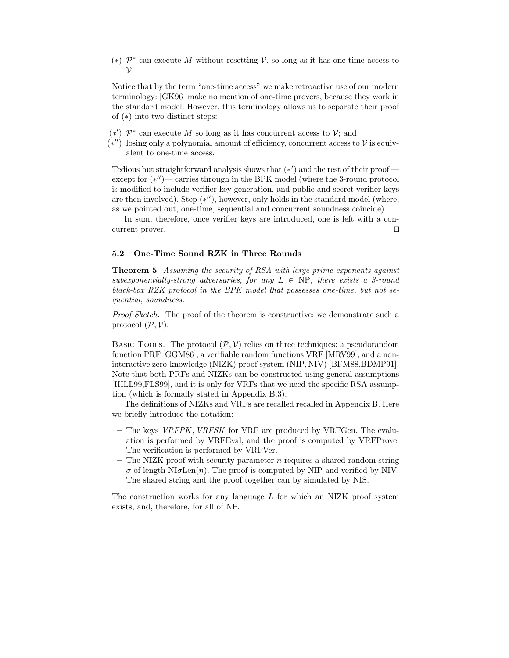(\*)  $\mathcal{P}^*$  can execute M without resetting  $\mathcal{V}$ , so long as it has one-time access to  $\mathcal{V}$ .

Notice that by the term "one-time access" we make retroactive use of our modern terminology: [GK96] make no mention of one-time provers, because they work in the standard model. However, this terminology allows us to separate their proof of (∗) into two distinct steps:

- (\*')  $\mathcal{P}^*$  can execute M so long as it has concurrent access to  $\mathcal{V}$ ; and
- $(*'')$  losing only a polynomial amount of efficiency, concurrent access to  $V$  is equivalent to one-time access.

Tedious but straightforward analysis shows that  $(*')$  and the rest of their proof except for (\*")— carries through in the BPK model (where the 3-round protocol is modified to include verifier key generation, and public and secret verifier keys are then involved). Step  $(*'$ , however, only holds in the standard model (where, as we pointed out, one-time, sequential and concurrent soundness coincide).

In sum, therefore, once verifier keys are introduced, one is left with a concurrent prover.  $\Box$ 

### 5.2 One-Time Sound RZK in Three Rounds

Theorem 5 Assuming the security of RSA with large prime exponents against subexponentially-strong adversaries, for any  $L \in \text{NP}$ , there exists a 3-round black-box RZK protocol in the BPK model that possesses one-time, but not sequential, soundness.

Proof Sketch. The proof of the theorem is constructive: we demonstrate such a protocol  $(\mathcal{P}, \mathcal{V})$ .

BASIC TOOLS. The protocol  $(\mathcal{P}, \mathcal{V})$  relies on three techniques: a pseudorandom function PRF [GGM86], a verifiable random functions VRF [MRV99], and a noninteractive zero-knowledge (NIZK) proof system (NIP, NIV) [BFM88,BDMP91]. Note that both PRFs and NIZKs can be constructed using general assumptions [HILL99,FLS99], and it is only for VRFs that we need the specific RSA assumption (which is formally stated in Appendix B.3).

The definitions of NIZKs and VRFs are recalled recalled in Appendix B. Here we briefly introduce the notation:

- The keys VRFPK, VRFSK for VRF are produced by VRFGen. The evaluation is performed by VRFEval, and the proof is computed by VRFProve. The verification is performed by VRFVer.
- $-$  The NIZK proof with security parameter n requires a shared random string  $\sigma$  of length NI $\sigma$ Len $(n)$ . The proof is computed by NIP and verified by NIV. The shared string and the proof together can by simulated by NIS.

The construction works for any language  $L$  for which an NIZK proof system exists, and, therefore, for all of NP.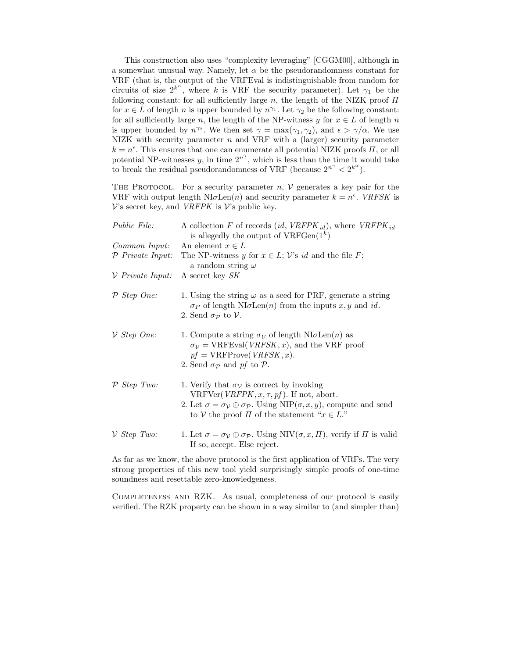This construction also uses "complexity leveraging" [CGGM00], although in a somewhat unusual way. Namely, let  $\alpha$  be the pseudorandomness constant for VRF (that is, the output of the VRFEval is indistinguishable from random for circuits of size  $2^{k^{\alpha}}$ , where k is VRF the security parameter). Let  $\gamma_1$  be the following constant: for all sufficiently large  $n$ , the length of the NIZK proof  $\Pi$ for  $x \in L$  of length n is upper bounded by  $n^{\gamma_1}$ . Let  $\gamma_2$  be the following constant: for all sufficiently large n, the length of the NP-witness y for  $x \in L$  of length n is upper bounded by  $n^{\gamma_2}$ . We then set  $\gamma = \max(\gamma_1, \gamma_2)$ , and  $\epsilon > \gamma/\alpha$ . We use NIZK with security parameter  $n$  and VRF with a (larger) security parameter  $k = n^{\epsilon}$ . This ensures that one can enumerate all potential NIZK proofs  $\Pi$ , or all potential NP-witnesses y, in time  $2^{n^{\gamma}}$ , which is less than the time it would take to break the residual pseudorandomness of VRF (because  $2^{n^{\gamma}} < 2^{k^{\alpha}}$ ).

THE PROTOCOL. For a security parameter n,  $\mathcal V$  generates a key pair for the VRF with output length  $NI\sigma Len(n)$  and security parameter  $k = n^{\epsilon}$ . VRFSK is  $V$ 's secret key, and *VRFPK* is  $V$ 's public key.

| <i>Public File:</i>         | A collection F of records $(id, VRFPK_{id})$ , where $VRFFK_{id}$<br>is allegedly the output of $VRFGen(1^k)$                                                                                                                                                                                        |
|-----------------------------|------------------------------------------------------------------------------------------------------------------------------------------------------------------------------------------------------------------------------------------------------------------------------------------------------|
| Common Input:               | An element $x \in L$                                                                                                                                                                                                                                                                                 |
| $P$ Private Input:          | The NP-witness y for $x \in L$ ; V's id and the file F;<br>a random string $\omega$                                                                                                                                                                                                                  |
| $\mathcal V$ Private Input: | A secret key SK                                                                                                                                                                                                                                                                                      |
| $P$ Step One:               | 1. Using the string $\omega$ as a seed for PRF, generate a string<br>$\sigma_P$ of length NI $\sigma$ Len $(n)$ from the inputs x, y and id.<br>2. Send $\sigma_{\mathcal{P}}$ to $\mathcal{V}$ .                                                                                                    |
| $V$ Step One:               | 1. Compute a string $\sigma_{\mathcal{V}}$ of length NI $\sigma$ Len( <i>n</i> ) as<br>$\sigma_{\mathcal{V}} = \text{VRFEval}(VRFSK, x)$ , and the VRF proof<br>$pf = \text{VRFProve}(VRFSK, x).$<br>2. Send $\sigma_{\mathcal{P}}$ and pf to $\mathcal{P}$ .                                        |
| $P$ Step Two:               | 1. Verify that $\sigma_{\mathcal{V}}$ is correct by invoking<br>VRFVer( <i>VRFPK</i> , $x, \tau, pf$ ). If not, abort.<br>2. Let $\sigma = \sigma_{\mathcal{V}} \oplus \sigma_{\mathcal{P}}$ . Using NIP $(\sigma, x, y)$ , compute and send<br>to V the proof $\Pi$ of the statement " $x \in L$ ." |
| $V$ Step Two:               | 1. Let $\sigma = \sigma_{\mathcal{V}} \oplus \sigma_{\mathcal{P}}$ . Using NIV $(\sigma, x, \Pi)$ , verify if $\Pi$ is valid<br>If so, accept. Else reject.                                                                                                                                          |

As far as we know, the above protocol is the first application of VRFs. The very strong properties of this new tool yield surprisingly simple proofs of one-time soundness and resettable zero-knowledgeness.

Completeness and RZK. As usual, completeness of our protocol is easily verified. The RZK property can be shown in a way similar to (and simpler than)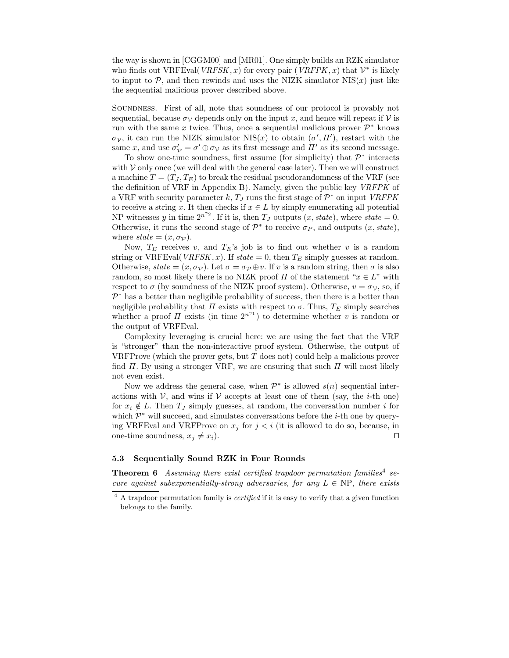the way is shown in [CGGM00] and [MR01]. One simply builds an RZK simulator who finds out VRFEval(*VRFSK, x*) for every pair (*VRFPK, x*) that  $\mathcal{V}^*$  is likely to input to  $P$ , and then rewinds and uses the NIZK simulator NIS(x) just like the sequential malicious prover described above.

Soundness. First of all, note that soundness of our protocol is provably not sequential, because  $\sigma_{\mathcal{V}}$  depends only on the input x, and hence will repeat if V is run with the same x twice. Thus, once a sequential malicious prover  $\mathcal{P}^*$  knows  $\sigma_{\mathcal{V}}$ , it can run the NIZK simulator NIS(x) to obtain  $(\sigma', \Pi')$ , restart with the same x, and use  $\sigma'_{\mathcal{P}} = \sigma' \oplus \sigma_{\mathcal{V}}$  as its first message and  $\Pi'$  as its second message.

To show one-time soundness, first assume (for simplicity) that  $\mathcal{P}^*$  interacts with  $V$  only once (we will deal with the general case later). Then we will construct a machine  $T = (T_J, T_E)$  to break the residual pseudorandomness of the VRF (see the definition of VRF in Appendix B). Namely, given the public key VRFPK of a VRF with security parameter  $k$ ,  $T_J$  runs the first stage of  $\mathcal{P}^*$  on input VRFPK to receive a string x. It then checks if  $x \in L$  by simply enumerating all potential NP witnesses y in time  $2^{n^{\gamma_2}}$ . If it is, then  $T_J$  outputs  $(x, state)$ , where  $state = 0$ . Otherwise, it runs the second stage of  $\mathcal{P}^*$  to receive  $\sigma_P$ , and outputs  $(x, state)$ , where  $state = (x, \sigma_{\mathcal{P}})$ .

Now,  $T_E$  receives v, and  $T_E$ 's job is to find out whether v is a random string or VRFEval(VRFSK, x). If state = 0, then  $T_E$  simply guesses at random. Otherwise,  $state = (x, \sigma_{\mathcal{P}})$ . Let  $\sigma = \sigma_{\mathcal{P}} \oplus v$ . If v is a random string, then  $\sigma$  is also random, so most likely there is no NIZK proof  $\Pi$  of the statement " $x \in L$ " with respect to  $\sigma$  (by soundness of the NIZK proof system). Otherwise,  $v = \sigma_{\mathcal{V}}$ , so, if  $\mathcal{P}^*$  has a better than negligible probability of success, then there is a better than negligible probability that  $\Pi$  exists with respect to  $\sigma$ . Thus,  $T_E$  simply searches whether a proof  $\Pi$  exists (in time  $2^{n^{\gamma_1}}$ ) to determine whether v is random or the output of VRFEval.

Complexity leveraging is crucial here: we are using the fact that the VRF is "stronger" than the non-interactive proof system. Otherwise, the output of VRFProve (which the prover gets, but  $T$  does not) could help a malicious prover find  $\Pi$ . By using a stronger VRF, we are ensuring that such  $\Pi$  will most likely not even exist.

Now we address the general case, when  $\mathcal{P}^*$  is allowed  $s(n)$  sequential interactions with  $V$ , and wins if  $V$  accepts at least one of them (say, the *i*-th one) for  $x_i \notin L$ . Then  $T_J$  simply guesses, at random, the conversation number i for which  $\mathcal{P}^*$  will succeed, and simulates conversations before the *i*-th one by querying VRFEval and VRFProve on  $x_j$  for  $j < i$  (it is allowed to do so, because, in one-time soundness,  $x_j \neq x_i$ ).

#### 5.3 Sequentially Sound RZK in Four Rounds

**Theorem 6** Assuming there exist certified trapdoor permutation families<sup>4</sup> secure against subexponentially-strong adversaries, for any  $L \in NP$ , there exists

<sup>&</sup>lt;sup>4</sup> A trapdoor permutation family is *certified* if it is easy to verify that a given function belongs to the family.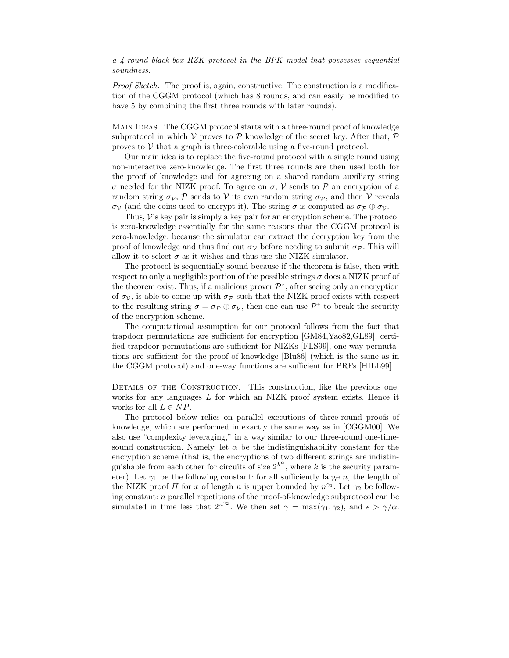a 4-round black-box RZK protocol in the BPK model that possesses sequential soundness.

Proof Sketch. The proof is, again, constructive. The construction is a modification of the CGGM protocol (which has 8 rounds, and can easily be modified to have 5 by combining the first three rounds with later rounds).

MAIN IDEAS. The CGGM protocol starts with a three-round proof of knowledge subprotocol in which  $V$  proves to  $P$  knowledge of the secret key. After that,  $P$ proves to  $V$  that a graph is three-colorable using a five-round protocol.

Our main idea is to replace the five-round protocol with a single round using non-interactive zero-knowledge. The first three rounds are then used both for the proof of knowledge and for agreeing on a shared random auxiliary string σ needed for the NIZK proof. To agree on σ, V sends to P an encryption of a random string  $\sigma_{\mathcal{V}}$ ,  $\mathcal{P}$  sends to  $\mathcal{V}$  its own random string  $\sigma_{\mathcal{P}}$ , and then  $\mathcal{V}$  reveals  $\sigma_{\mathcal{V}}$  (and the coins used to encrypt it). The string  $\sigma$  is computed as  $\sigma_{\mathcal{P}} \oplus \sigma_{\mathcal{V}}$ .

Thus, V's key pair is simply a key pair for an encryption scheme. The protocol is zero-knowledge essentially for the same reasons that the CGGM protocol is zero-knowledge: because the simulator can extract the decryption key from the proof of knowledge and thus find out  $\sigma_{\mathcal{V}}$  before needing to submit  $\sigma_{\mathcal{P}}$ . This will allow it to select  $\sigma$  as it wishes and thus use the NIZK simulator.

The protocol is sequentially sound because if the theorem is false, then with respect to only a negligible portion of the possible strings  $\sigma$  does a NIZK proof of the theorem exist. Thus, if a malicious prover  $\mathcal{P}^*$ , after seeing only an encryption of  $\sigma_{\mathcal{V}}$ , is able to come up with  $\sigma_{\mathcal{P}}$  such that the NIZK proof exists with respect to the resulting string  $\sigma = \sigma_P \oplus \sigma_{\mathcal{V}}$ , then one can use  $\mathcal{P}^*$  to break the security of the encryption scheme.

The computational assumption for our protocol follows from the fact that trapdoor permutations are sufficient for encryption [GM84,Yao82,GL89], certified trapdoor permutations are sufficient for NIZKs [FLS99], one-way permutations are sufficient for the proof of knowledge [Blu86] (which is the same as in the CGGM protocol) and one-way functions are sufficient for PRFs [HILL99].

DETAILS OF THE CONSTRUCTION. This construction, like the previous one, works for any languages  $L$  for which an NIZK proof system exists. Hence it works for all  $L \in NP$ .

The protocol below relies on parallel executions of three-round proofs of knowledge, which are performed in exactly the same way as in [CGGM00]. We also use "complexity leveraging," in a way similar to our three-round one-timesound construction. Namely, let  $\alpha$  be the indistinguishability constant for the encryption scheme (that is, the encryptions of two different strings are indistinguishable from each other for circuits of size  $2^{k^{\alpha}}$ , where k is the security parameter). Let  $\gamma_1$  be the following constant: for all sufficiently large n, the length of the NIZK proof  $\Pi$  for x of length n is upper bounded by  $n^{\gamma_1}$ . Let  $\gamma_2$  be following constant: n parallel repetitions of the proof-of-knowledge subprotocol can be simulated in time less that  $2^{n^{\gamma_2}}$ . We then set  $\gamma = \max(\gamma_1, \gamma_2)$ , and  $\epsilon > \gamma/\alpha$ .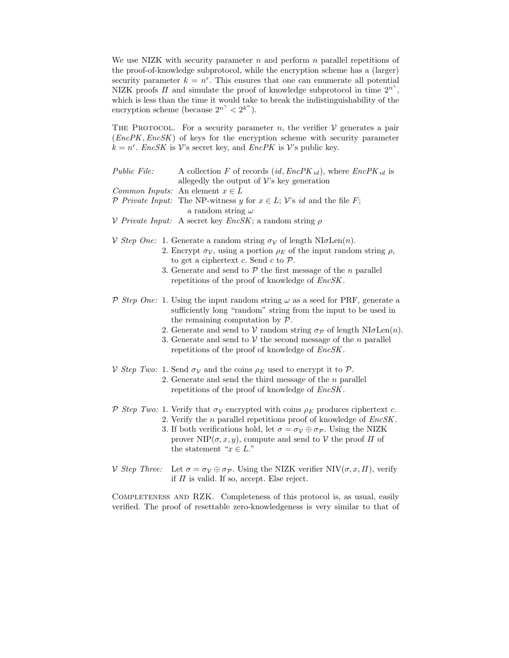We use NIZK with security parameter  $n$  and perform  $n$  parallel repetitions of the proof-of-knowledge subprotocol, while the encryption scheme has a (larger) security parameter  $k = n^{\epsilon}$ . This ensures that one can enumerate all potential NIZK proofs  $\Pi$  and simulate the proof of knowledge subprotocol in time  $2^{n^{\gamma}}$ , which is less than the time it would take to break the indistinguishability of the encryption scheme (because  $2^{n^{\gamma}} < 2^{k^{\alpha}}$ ).

THE PROTOCOL. For a security parameter n, the verifier  $\mathcal V$  generates a pair  $(EncPK, EncSK)$  of keys for the encryption scheme with security parameter  $k = n^{\epsilon}$ . EncSK is V's secret key, and EncPK is V's public key.

| <i>Public File:</i> | A collection F of records $(id, EncPK_{id})$ , where $EncPK_{id}$ is                             |
|---------------------|--------------------------------------------------------------------------------------------------|
|                     | allegedly the output of $\mathcal{V}$ 's key generation                                          |
|                     | <i>Common Inputs:</i> An element $x \in L$                                                       |
|                     | P Private Input: The NP-witness y for $x \in L$ ; V's id and the file F;                         |
|                     | a random string $\omega$                                                                         |
|                     | V Private Input: A secret key $EncSK$ ; a random string $\rho$                                   |
|                     |                                                                                                  |
|                     | V Step One: 1. Generate a random string $\sigma_{\mathcal{V}}$ of length NI $\sigma$ Len $(n)$ . |

- 2. Encrypt  $\sigma_{\mathcal{V}}$ , using a portion  $\rho_E$  of the input random string  $\rho$ , to get a ciphertext c. Send  $c$  to  $\mathcal{P}$ .
- 3. Generate and send to  $P$  the first message of the n parallel repetitions of the proof of knowledge of EncSK.
- P Step One: 1. Using the input random string  $\omega$  as a seed for PRF, generate a sufficiently long "random" string from the input to be used in the remaining computation by  $P$ .
	- 2. Generate and send to V random string  $\sigma_{\mathcal{P}}$  of length NI $\sigma$ Len $(n)$ .
	- 3. Generate and send to  $V$  the second message of the *n* parallel repetitions of the proof of knowledge of EncSK.
- V Step Two: 1. Send  $\sigma_{\mathcal{V}}$  and the coins  $\rho_E$  used to encrypt it to  $\mathcal{P}$ . 2. Generate and send the third message of the n parallel repetitions of the proof of knowledge of EncSK.
- P Step Two: 1. Verify that  $\sigma_{\mathcal{V}}$  encrypted with coins  $\rho_E$  produces ciphertext c.
	- 2. Verify the n parallel repetitions proof of knowledge of EncSK. 3. If both verifications hold, let  $\sigma = \sigma_{\mathcal{V}} \oplus \sigma_{\mathcal{P}}$ . Using the NIZK
		- prover  $\text{NIP}(\sigma, x, y)$ , compute and send to V the proof  $\Pi$  of the statement " $x \in L$ ."
- V Step Three: Let  $\sigma = \sigma_{\mathcal{V}} \oplus \sigma_{\mathcal{P}}$ . Using the NIZK verifier NIV $(\sigma, x, \Pi)$ , verify if  $\Pi$  is valid. If so, accept. Else reject.

Completeness and RZK. Completeness of this protocol is, as usual, easily verified. The proof of resettable zero-knowledgeness is very similar to that of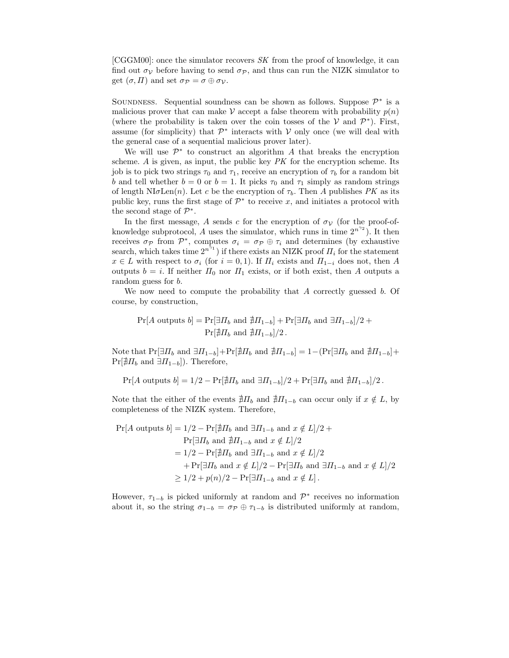[CGGM00]: once the simulator recovers  $SK$  from the proof of knowledge, it can find out  $\sigma_{\mathcal{V}}$  before having to send  $\sigma_{\mathcal{P}}$ , and thus can run the NIZK simulator to get  $(\sigma, \Pi)$  and set  $\sigma_{\mathcal{P}} = \sigma \oplus \sigma_{\mathcal{V}}$ .

SOUNDNESS. Sequential soundness can be shown as follows. Suppose  $\mathcal{P}^*$  is a malicious prover that can make  $\mathcal V$  accept a false theorem with probability  $p(n)$ (where the probability is taken over the coin tosses of the  $V$  and  $\mathcal{P}^*$ ). First, assume (for simplicity) that  $\mathcal{P}^*$  interacts with V only once (we will deal with the general case of a sequential malicious prover later).

We will use  $\mathcal{P}^*$  to construct an algorithm A that breaks the encryption scheme. A is given, as input, the public key  $PK$  for the encryption scheme. Its job is to pick two strings  $\tau_0$  and  $\tau_1$ , receive an encryption of  $\tau_b$  for a random bit b and tell whether  $b = 0$  or  $b = 1$ . It picks  $\tau_0$  and  $\tau_1$  simply as random strings of length NI $\sigma$ Len $(n)$ . Let c be the encryption of  $\tau_b$ . Then A publishes PK as its public key, runs the first stage of  $\mathcal{P}^*$  to receive x, and initiates a protocol with the second stage of  $\mathcal{P}^*$ .

In the first message, A sends c for the encryption of  $\sigma_{\mathcal{V}}$  (for the proof-ofknowledge subprotocol, A uses the simulator, which runs in time  $2^{n^{\gamma_2}}$ . It then receives  $\sigma_{\mathcal{P}}$  from  $\mathcal{P}^*$ , computes  $\sigma_i = \sigma_{\mathcal{P}} \oplus \tau_i$  and determines (by exhaustive search, which takes time  $2^{n^{\gamma_1}}$ ) if there exists an NIZK proof  $\Pi_i$  for the statement  $x \in L$  with respect to  $\sigma_i$  (for  $i = 0, 1$ ). If  $\Pi_i$  exists and  $\Pi_{1-i}$  does not, then A outputs  $b = i$ . If neither  $\Pi_0$  nor  $\Pi_1$  exists, or if both exist, then A outputs a random guess for b.

We now need to compute the probability that  $A$  correctly guessed  $b$ . Of course, by construction,

$$
\Pr[A \text{ outputs } b] = \Pr[\exists \Pi_b \text{ and } \nexists \Pi_{1-b}] + \Pr[\exists \Pi_b \text{ and } \exists \Pi_{1-b}]/2 + \Pr[\nexists \Pi_b \text{ and } \nexists \Pi_{1-b}]/2.
$$

Note that  $Pr[\exists \Pi_b \text{ and } \exists \Pi_{1-b}] + Pr[\nexists \Pi_b \text{ and } \nexists \Pi_{1-b}] = 1 - (Pr[\exists \Pi_b \text{ and } \nexists \Pi_{1-b}] +$  $Pr[\nexists \Pi_b \text{ and } \exists \Pi_{1-b}].$  Therefore,

 $Pr[A \text{ outputs } b] = 1/2 - Pr[\nexists \Pi_b \text{ and } \exists \Pi_{1-b}]/2 + Pr[\exists \Pi_b \text{ and } \nexists \Pi_{1-b}]/2$ .

Note that the either of the events  $\frac{1}{2} \prod_{b}$  and  $\frac{1}{2} \prod_{1-b}$  can occur only if  $x \notin L$ , by completeness of the NIZK system. Therefore,

$$
\Pr[A \text{ outputs } b] = 1/2 - \Pr[\nexists \Pi_b \text{ and } \exists \Pi_{1-b} \text{ and } x \notin L]/2 +
$$
\n
$$
\Pr[\exists \Pi_b \text{ and } \nexists \Pi_{1-b} \text{ and } x \notin L]/2
$$
\n
$$
= 1/2 - \Pr[\nexists \Pi_b \text{ and } \exists \Pi_{1-b} \text{ and } x \notin L]/2
$$
\n
$$
+ \Pr[\exists \Pi_b \text{ and } x \notin L]/2 - \Pr[\exists \Pi_b \text{ and } \exists \Pi_{1-b} \text{ and } x \notin L]/2
$$
\n
$$
\geq 1/2 + p(n)/2 - \Pr[\exists \Pi_{1-b} \text{ and } x \notin L].
$$

However,  $\tau_{1-b}$  is picked uniformly at random and  $\mathcal{P}^*$  receives no information about it, so the string  $\sigma_{1-b} = \sigma_{\mathcal{P}} \oplus \tau_{1-b}$  is distributed uniformly at random,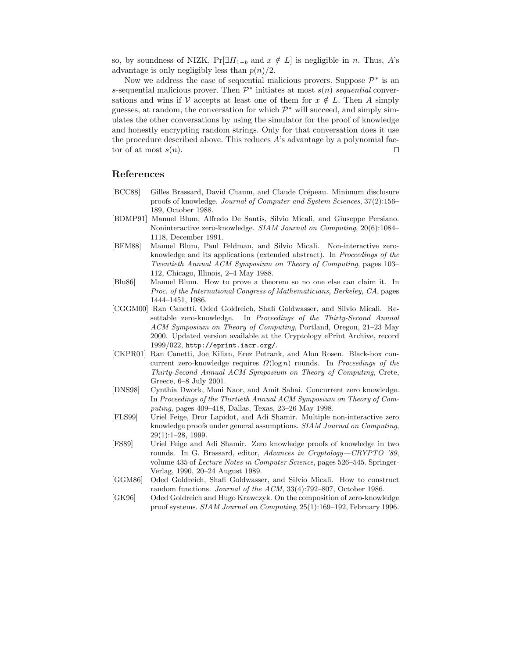so, by soundness of NIZK,  $Pr[\exists \Pi_{1-b}$  and  $x \notin L]$  is negligible in n. Thus, A's advantage is only negligibly less than  $p(n)/2$ .

Now we address the case of sequential malicious provers. Suppose  $\mathcal{P}^*$  is an s-sequential malicious prover. Then  $\mathcal{P}^*$  initiates at most  $s(n)$  sequential conversations and wins if V accepts at least one of them for  $x \notin L$ . Then A simply guesses, at random, the conversation for which  $\mathcal{P}^*$  will succeed, and simply simulates the other conversations by using the simulator for the proof of knowledge and honestly encrypting random strings. Only for that conversation does it use the procedure described above. This reduces A's advantage by a polynomial factor of at most  $s(n)$ .

# References

- [BCC88] Gilles Brassard, David Chaum, and Claude Crépeau. Minimum disclosure proofs of knowledge. Journal of Computer and System Sciences, 37(2):156– 189, October 1988.
- [BDMP91] Manuel Blum, Alfredo De Santis, Silvio Micali, and Giuseppe Persiano. Noninteractive zero-knowledge. SIAM Journal on Computing, 20(6):1084– 1118, December 1991.
- [BFM88] Manuel Blum, Paul Feldman, and Silvio Micali. Non-interactive zeroknowledge and its applications (extended abstract). In Proceedings of the Twentieth Annual ACM Symposium on Theory of Computing, pages 103– 112, Chicago, Illinois, 2–4 May 1988.
- [Blu86] Manuel Blum. How to prove a theorem so no one else can claim it. In Proc. of the International Congress of Mathematicians, Berkeley, CA, pages 1444–1451, 1986.
- [CGGM00] Ran Canetti, Oded Goldreich, Shafi Goldwasser, and Silvio Micali. Resettable zero-knowledge. In Proceedings of the Thirty-Second Annual ACM Symposium on Theory of Computing, Portland, Oregon, 21–23 May 2000. Updated version available at the Cryptology ePrint Archive, record 1999/022, http://eprint.iacr.org/.
- [CKPR01] Ran Canetti, Joe Kilian, Erez Petrank, and Alon Rosen. Black-box concurrent zero-knowledge requires  $\Omega(\log n)$  rounds. In Proceedings of the Thirty-Second Annual ACM Symposium on Theory of Computing, Crete, Greece, 6–8 July 2001.
- [DNS98] Cynthia Dwork, Moni Naor, and Amit Sahai. Concurrent zero knowledge. In Proceedings of the Thirtieth Annual ACM Symposium on Theory of Computing, pages 409–418, Dallas, Texas, 23–26 May 1998.
- [FLS99] Uriel Feige, Dror Lapidot, and Adi Shamir. Multiple non-interactive zero knowledge proofs under general assumptions. SIAM Journal on Computing, 29(1):1–28, 1999.
- [FS89] Uriel Feige and Adi Shamir. Zero knowledge proofs of knowledge in two rounds. In G. Brassard, editor, Advances in Cryptology—CRYPTO '89, volume 435 of Lecture Notes in Computer Science, pages 526–545. Springer-Verlag, 1990, 20–24 August 1989.
- [GGM86] Oded Goldreich, Shafi Goldwasser, and Silvio Micali. How to construct random functions. Journal of the ACM, 33(4):792–807, October 1986.
- [GK96] Oded Goldreich and Hugo Krawczyk. On the composition of zero-knowledge proof systems. SIAM Journal on Computing, 25(1):169–192, February 1996.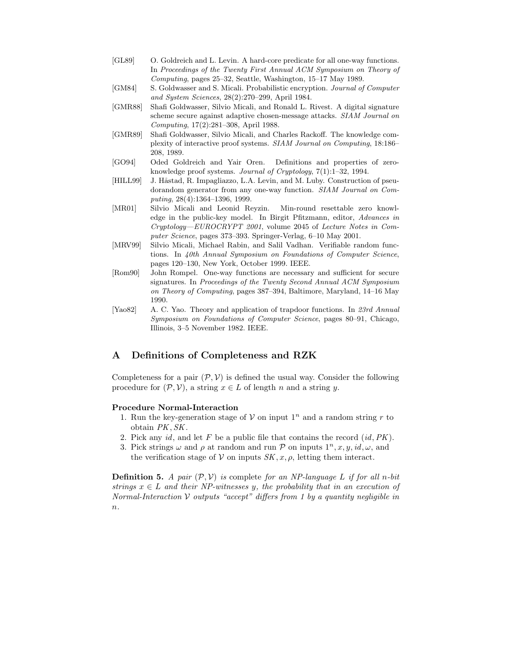- [GL89] O. Goldreich and L. Levin. A hard-core predicate for all one-way functions. In Proceedings of the Twenty First Annual ACM Symposium on Theory of Computing, pages 25–32, Seattle, Washington, 15–17 May 1989.
- [GM84] S. Goldwasser and S. Micali. Probabilistic encryption. Journal of Computer and System Sciences, 28(2):270–299, April 1984.
- [GMR88] Shafi Goldwasser, Silvio Micali, and Ronald L. Rivest. A digital signature scheme secure against adaptive chosen-message attacks. SIAM Journal on Computing, 17(2):281–308, April 1988.
- [GMR89] Shafi Goldwasser, Silvio Micali, and Charles Rackoff. The knowledge complexity of interactive proof systems. SIAM Journal on Computing, 18:186– 208, 1989.
- [GO94] Oded Goldreich and Yair Oren. Definitions and properties of zeroknowledge proof systems. Journal of Cryptology, 7(1):1–32, 1994.
- [HILL99] J. Håstad, R. Impagliazzo, L.A. Levin, and M. Luby. Construction of pseudorandom generator from any one-way function. SIAM Journal on Computing, 28(4):1364–1396, 1999.
- [MR01] Silvio Micali and Leonid Reyzin. Min-round resettable zero knowledge in the public-key model. In Birgit Pfitzmann, editor, Advances in Cryptology—EUROCRYPT 2001, volume 2045 of Lecture Notes in Computer Science, pages 373–393. Springer-Verlag, 6–10 May 2001.
- [MRV99] Silvio Micali, Michael Rabin, and Salil Vadhan. Verifiable random functions. In 40th Annual Symposium on Foundations of Computer Science, pages 120–130, New York, October 1999. IEEE.
- [Rom90] John Rompel. One-way functions are necessary and sufficient for secure signatures. In Proceedings of the Twenty Second Annual ACM Symposium on Theory of Computing, pages 387–394, Baltimore, Maryland, 14–16 May 1990.
- [Yao82] A. C. Yao. Theory and application of trapdoor functions. In 23rd Annual Symposium on Foundations of Computer Science, pages 80–91, Chicago, Illinois, 3–5 November 1982. IEEE.

# A Definitions of Completeness and RZK

Completeness for a pair  $(\mathcal{P}, \mathcal{V})$  is defined the usual way. Consider the following procedure for  $(\mathcal{P}, \mathcal{V})$ , a string  $x \in L$  of length n and a string y.

### Procedure Normal-Interaction

- 1. Run the key-generation stage of  $V$  on input  $1^n$  and a random string r to obtain PK, SK.
- 2. Pick any  $id$ , and let F be a public file that contains the record  $(id, PK)$ .
- 3. Pick strings  $\omega$  and  $\rho$  at random and run  $\mathcal P$  on inputs  $1^n, x, y, id, \omega$ , and the verification stage of V on inputs  $SK, x, \rho$ , letting them interact.

**Definition 5.** A pair  $(\mathcal{P}, \mathcal{V})$  is complete for an NP-language L if for all n-bit strings  $x \in L$  and their NP-witnesses y, the probability that in an execution of Normal-Interaction  $V$  outputs "accept" differs from 1 by a quantity negligible in  $\overline{n}$ .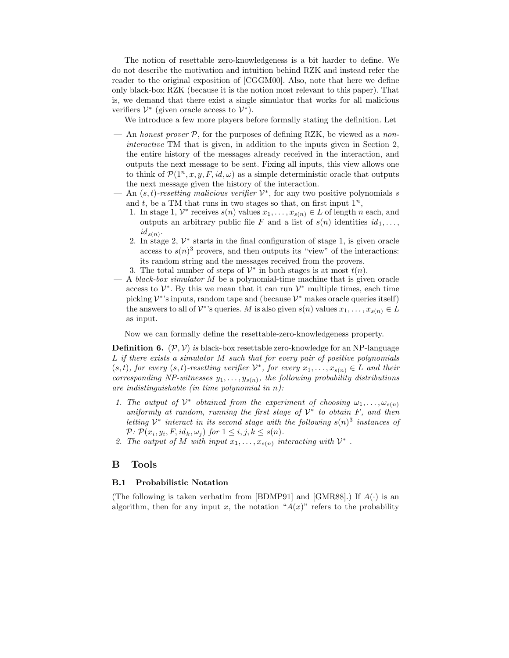The notion of resettable zero-knowledgeness is a bit harder to define. We do not describe the motivation and intuition behind RZK and instead refer the reader to the original exposition of [CGGM00]. Also, note that here we define only black-box RZK (because it is the notion most relevant to this paper). That is, we demand that there exist a single simulator that works for all malicious verifiers  $\mathcal{V}^*$  (given oracle access to  $\mathcal{V}^*$ ).

We introduce a few more players before formally stating the definition. Let

- An honest prover  $P$ , for the purposes of defining RZK, be viewed as a noninteractive TM that is given, in addition to the inputs given in Section 2, the entire history of the messages already received in the interaction, and outputs the next message to be sent. Fixing all inputs, this view allows one to think of  $\mathcal{P}(1^n, x, y, F, id, \omega)$  as a simple deterministic oracle that outputs the next message given the history of the interaction.
- $-$  An  $(s, t)$ -resetting malicious verifier  $\mathcal{V}^*$ , for any two positive polynomials s and  $t$ , be a TM that runs in two stages so that, on first input  $1^n$ ,
	- 1. In stage 1,  $\mathcal{V}^*$  receives  $s(n)$  values  $x_1, \ldots, x_{s(n)} \in L$  of length n each, and outputs an arbitrary public file F and a list of  $s(n)$  identities  $id_1, \ldots,$  $id_{s(n)}$ .
	- 2. In stage 2,  $V^*$  starts in the final configuration of stage 1, is given oracle access to  $s(n)^3$  provers, and then outputs its "view" of the interactions: its random string and the messages received from the provers.
- 3. The total number of steps of  $\mathcal{V}^*$  in both stages is at most  $t(n)$ .
- $A \, black-box \, simulator \, M \, be a polynomial-time machine that is given oracle.$ access to  $\mathcal{V}^*$ . By this we mean that it can run  $\mathcal{V}^*$  multiple times, each time picking  $\mathcal{V}^*$ 's inputs, random tape and (because  $\mathcal{V}^*$  makes oracle queries itself) the answers to all of  $V^*$ 's queries. M is also given  $s(n)$  values  $x_1, \ldots, x_{s(n)} \in L$ as input.

Now we can formally define the resettable-zero-knowledgeness property.

**Definition 6.**  $(\mathcal{P}, \mathcal{V})$  is black-box resettable zero-knowledge for an NP-language  $L$  if there exists a simulator  $M$  such that for every pair of positive polynomials  $(s,t)$ , for every  $(s,t)$ -resetting verifier  $\mathcal{V}^*$ , for every  $x_1,\ldots,x_{s(n)} \in L$  and their corresponding NP-witnesses  $y_1, \ldots, y_{s(n)}$ , the following probability distributions are indistinguishable (in time polynomial in  $n$ ):

- 1. The output of  $\mathcal{V}^*$  obtained from the experiment of choosing  $\omega_1, \ldots, \omega_{s(n)}$ uniformly at random, running the first stage of  $\mathcal{V}^*$  to obtain F, and then letting  $\mathcal{V}^*$  interact in its second stage with the following  $s(n)^3$  instances of  $\mathcal{P} \colon \mathcal{P}(x_i, y_i, F, id_k, \omega_j)$  for  $1 \leq i, j, k \leq s(n)$ .
- 2. The output of M with input  $x_1, \ldots, x_{s(n)}$  interacting with  $\mathcal{V}^*$ .

## B Tools

### B.1 Probabilistic Notation

(The following is taken verbatim from [BDMP91] and [GMR88].) If  $A(\cdot)$  is an algorithm, then for any input x, the notation " $A(x)$ " refers to the probability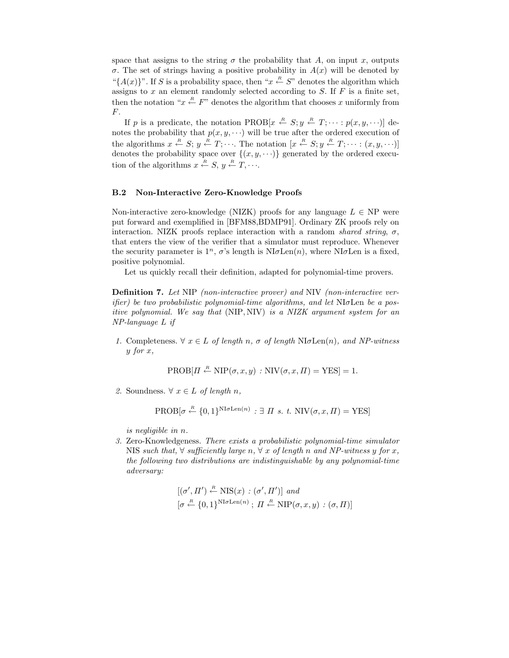space that assigns to the string  $\sigma$  the probability that A, on input x, outputs σ. The set of strings having a positive probability in A(x) will be denoted by "{ $A(x)$ }". If S is a probability space, then " $x \stackrel{R}{\leftarrow} S$ " denotes the algorithm which assigns to  $x$  an element randomly selected according to  $S$ . If  $F$  is a finite set, then the notation " $x \stackrel{R}{\leftarrow} F$ " denotes the algorithm that chooses x uniformly from F.

If p is a predicate, the notation  $\text{PROB}[x \stackrel{R}{\leftarrow} S; y \stackrel{R}{\leftarrow} T; \cdots : p(x, y, \cdots)]$  denotes the probability that  $p(x, y, \dots)$  will be true after the ordered execution of the algorithms  $x \stackrel{R}{\leftarrow} S$ ;  $y \stackrel{R}{\leftarrow} T$ ;  $\cdots$ . The notation  $[x \stackrel{R}{\leftarrow} S; y \stackrel{R}{\leftarrow} T; \cdots : (x, y, \cdots)]$ denotes the probability space over  $\{(x, y, \dots)\}\$ generated by the ordered execution of the algorithms  $x \stackrel{R}{\leftarrow} S$ ,  $y \stackrel{R}{\leftarrow} T$ ,  $\cdots$ .

### B.2 Non-Interactive Zero-Knowledge Proofs

Non-interactive zero-knowledge (NIZK) proofs for any language  $L \in NP$  were put forward and exemplified in [BFM88,BDMP91]. Ordinary ZK proofs rely on interaction. NIZK proofs replace interaction with a random shared string,  $\sigma$ , that enters the view of the verifier that a simulator must reproduce. Whenever the security parameter is  $1^n$ ,  $\sigma$ 's length is  $NI\sigma Len(n)$ , where  $NI\sigma Len$  is a fixed, positive polynomial.

Let us quickly recall their definition, adapted for polynomial-time provers.

Definition 7. Let NIP (non-interactive prover) and NIV (non-interactive verifier) be two probabilistic polynomial-time algorithms, and let  $NI\sigma$ Len be a positive polynomial. We say that (NIP, NIV) is a NIZK argument system for an NP-language L if

1. Completeness.  $\forall x \in L$  of length n,  $\sigma$  of length NI $\sigma$ Len $(n)$ , and NP-witness  $y$  for  $x$ ,

$$
\text{PROB}[H \stackrel{R}{\leftarrow} \text{NIP}(\sigma, x, y) : \text{NIV}(\sigma, x, \Pi) = \text{YES}] = 1.
$$

2. Soundness.  $\forall x \in L$  of length n,

$$
\text{PROB}[\sigma \stackrel{R}{\leftarrow} \{0,1\}^{\text{NIoLen}(n)} : \exists \ \Pi \ \text{s. t. } \text{NIV}(\sigma, x, \Pi) = \text{YES}]
$$

is negligible in n.

3. Zero-Knowledgeness. There exists a probabilistic polynomial-time simulator NIS such that,  $\forall$  sufficiently large n,  $\forall$  x of length n and NP-witness y for x, the following two distributions are indistinguishable by any polynomial-time adversary:

$$
[(\sigma', \Pi') \stackrel{R}{\leftarrow} \text{NIS}(x) : (\sigma', \Pi') ] \text{ and}
$$

$$
[\sigma \stackrel{R}{\leftarrow} \{0,1\}^{\text{NI}\sigma \text{Len}(n)}; \Pi \stackrel{R}{\leftarrow} \text{NIP}(\sigma, x, y) : (\sigma, \Pi)]
$$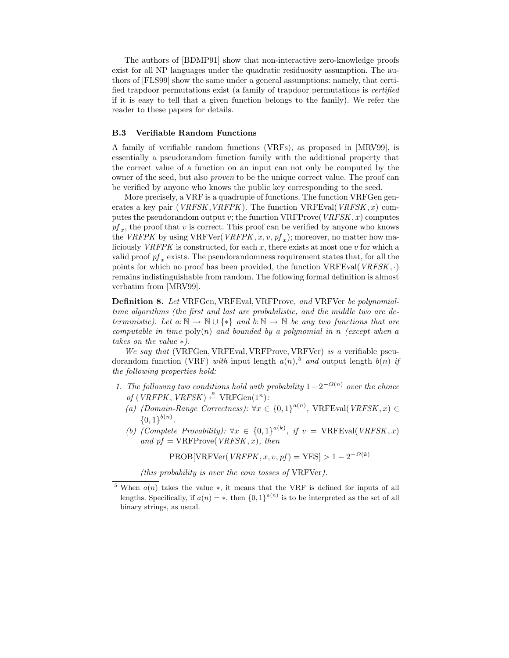The authors of [BDMP91] show that non-interactive zero-knowledge proofs exist for all NP languages under the quadratic residuosity assumption. The authors of [FLS99] show the same under a general assumptions: namely, that certified trapdoor permutations exist (a family of trapdoor permutations is certified if it is easy to tell that a given function belongs to the family). We refer the reader to these papers for details.

#### B.3 Verifiable Random Functions

A family of verifiable random functions (VRFs), as proposed in [MRV99], is essentially a pseudorandom function family with the additional property that the correct value of a function on an input can not only be computed by the owner of the seed, but also proven to be the unique correct value. The proof can be verified by anyone who knows the public key corresponding to the seed.

More precisely, a VRF is a quadruple of functions. The function VRFGen generates a key pair (*VRFSK, VRFPK*). The function  $VRFEval(VRFSK, x)$  computes the pseudorandom output v; the function VRFProve( $VRFSK, x$ ) computes  $pf_x$ , the proof that v is correct. This proof can be verified by anyone who knows the *VRFPK* by using VRFVer(*VRFPK*,  $x, v, pf_x$ ); moreover, no matter how maliciously VRFPK is constructed, for each  $x$ , there exists at most one  $v$  for which a valid proof  $pf_x$  exists. The pseudorandomness requirement states that, for all the points for which no proof has been provided, the function VRFEval( $VRFSK, \cdot$ ) remains indistinguishable from random. The following formal definition is almost verbatim from [MRV99].

Definition 8. Let VRFGen, VRFEval, VRFProve, and VRFVer be polynomialtime algorithms (the first and last are probabilistic, and the middle two are deterministic). Let  $a: \mathbb{N} \to \mathbb{N} \cup \{*\}$  and  $b: \mathbb{N} \to \mathbb{N}$  be any two functions that are computable in time  $\text{poly}(n)$  and bounded by a polynomial in n (except when a takes on the value ∗).

We say that (VRFGen, VRFEval, VRFProve, VRFVer) is a verifiable pseudorandom function (VRF) with input length  $a(n)$ ,<sup>5</sup> and output length  $b(n)$  if the following properties hold:

- 1. The following two conditions hold with probability  $1-2^{-\Omega(n)}$  over the choice of  $(VRFPK, VRFSK) \stackrel{R}{\leftarrow} VRFGen(1^n)$ :
	- (a) (Domain-Range Correctness):  $\forall x \in \{0,1\}^{a(n)}$ , VRFEval(VRFSK, x)  $\in$  ${0,1\}^{b(n)}$ .
	- (b) (Complete Provability):  $\forall x \in \{0,1\}^{a(k)}$ , if  $v = \text{VRFEval}(VRFSK, x)$ and  $pf = \text{VRFProve}(VRFSK, x)$ , then

 $PROB[VRFVer(VRFPK, x, v, pf) = YES] > 1 - 2^{-\Omega(k)}$ 

(this probability is over the coin tosses of VRFVer).

<sup>&</sup>lt;sup>5</sup> When  $a(n)$  takes the value  $*$ , it means that the VRF is defined for inputs of all lengths. Specifically, if  $a(n) = *$ , then  $\{0,1\}^{a(n)}$  is to be interpreted as the set of all binary strings, as usual.